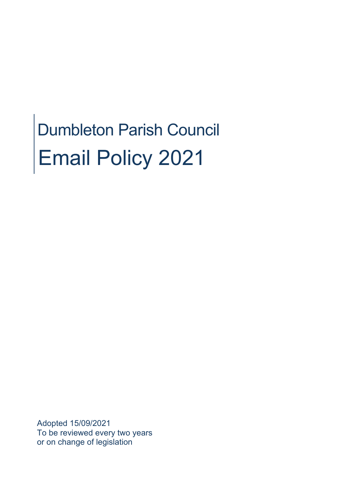# Dumbleton Parish Council Email Policy 2021

Adopted 15/09/2021 To be reviewed every two years or on change of legislation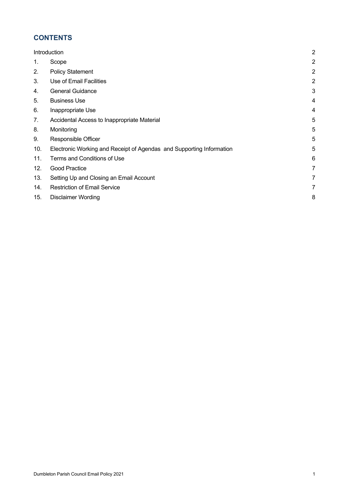# **CONTENTS**

| Introduction |                                                                      | $\overline{c}$ |
|--------------|----------------------------------------------------------------------|----------------|
| 1.           | Scope                                                                | 2              |
| 2.           | <b>Policy Statement</b>                                              | $\overline{a}$ |
| 3.           | Use of Email Facilities                                              | $\overline{c}$ |
| 4.           | <b>General Guidance</b>                                              | 3              |
| 5.           | <b>Business Use</b>                                                  | 4              |
| 6.           | Inappropriate Use                                                    | 4              |
| 7.           | Accidental Access to Inappropriate Material                          | 5              |
| 8.           | Monitoring                                                           | 5              |
| 9.           | Responsible Officer                                                  | 5              |
| 10.          | Electronic Working and Receipt of Agendas and Supporting Information | 5              |
| 11.          | Terms and Conditions of Use                                          | 6              |
| 12.          | Good Practice                                                        | 7              |
| 13.          | Setting Up and Closing an Email Account                              | 7              |
| 14.          | <b>Restriction of Email Service</b>                                  | 7              |
| 15.          | <b>Disclaimer Wording</b>                                            | 8              |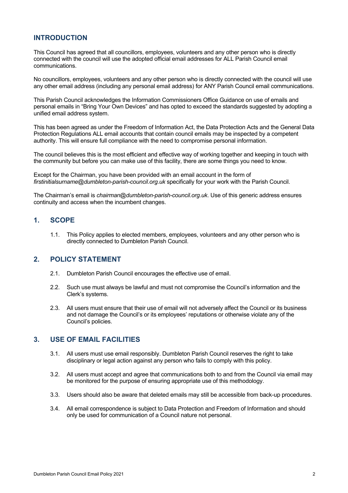# **INTRODUCTION**

This Council has agreed that all councillors, employees, volunteers and any other person who is directly connected with the council will use the adopted official email addresses for ALL Parish Council email communications.

No councillors, employees, volunteers and any other person who is directly connected with the council will use any other email address (including any personal email address) for ANY Parish Council email communications.

This Parish Council acknowledges the Information Commissioners Office Guidance on use of emails and personal emails in "Bring Your Own Devices" and has opted to exceed the standards suggested by adopting a unified email address system.

This has been agreed as under the Freedom of Information Act, the Data Protection Acts and the General Data Protection Regulations ALL email accounts that contain council emails may be inspected by a competent authority. This will ensure full compliance with the need to compromise personal information.

The council believes this is the most efficient and effective way of working together and keeping in touch with the community but before you can make use of this facility, there are some things you need to know.

Except for the Chairman, you have been provided with an email account in the form of *firstinitialsurname@dumbleton-parish-council.org.uk* specifically for your work with the Parish Council.

The Chairman's email is *chairman@dumbleton-parish-council.org.uk*. Use of this generic address ensures continuity and access when the incumbent changes.

# **1. SCOPE**

1.1. This Policy applies to elected members, employees, volunteers and any other person who is directly connected to Dumbleton Parish Council.

#### **2. POLICY STATEMENT**

- 2.1. Dumbleton Parish Council encourages the effective use of email.
- 2.2. Such use must always be lawful and must not compromise the Council's information and the Clerk's systems.
- 2.3. All users must ensure that their use of email will not adversely affect the Council or its business and not damage the Council's or its employees' reputations or otherwise violate any of the Council's policies.

#### **3. USE OF EMAIL FACILITIES**

- 3.1. All users must use email responsibly. Dumbleton Parish Council reserves the right to take disciplinary or legal action against any person who fails to comply with this policy.
- 3.2. All users must accept and agree that communications both to and from the Council via email may be monitored for the purpose of ensuring appropriate use of this methodology.
- 3.3. Users should also be aware that deleted emails may still be accessible from back-up procedures.
- 3.4. All email correspondence is subject to Data Protection and Freedom of Information and should only be used for communication of a Council nature not personal.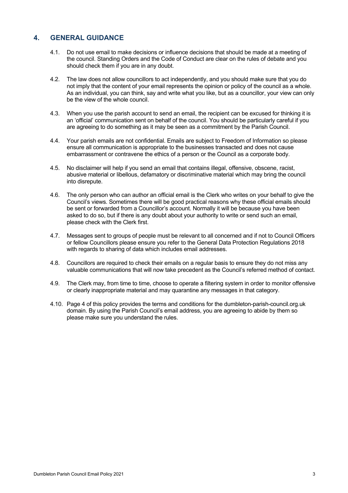# **4. GENERAL GUIDANCE**

- 4.1. Do not use email to make decisions or influence decisions that should be made at a meeting of the council. Standing Orders and the Code of Conduct are clear on the rules of debate and you should check them if you are in any doubt.
- 4.2. The law does not allow councillors to act independently, and you should make sure that you do not imply that the content of your email represents the opinion or policy of the council as a whole. As an individual, you can think, say and write what you like, but as a councillor, your view can only be the view of the whole council.
- 4.3. When you use the parish account to send an email, the recipient can be excused for thinking it is an 'official' communication sent on behalf of the council. You should be particularly careful if you are agreeing to do something as it may be seen as a commitment by the Parish Council.
- 4.4. Your parish emails are not confidential. Emails are subject to Freedom of Information so please ensure all communication is appropriate to the businesses transacted and does not cause embarrassment or contravene the ethics of a person or the Council as a corporate body.
- 4.5. No disclaimer will help if you send an email that contains illegal, offensive, obscene, racist, abusive material or libellous, defamatory or discriminative material which may bring the council into disrepute.
- 4.6. The only person who can author an official email is the Clerk who writes on your behalf to give the Council's views. Sometimes there will be good practical reasons why these official emails should be sent or forwarded from a Councillor's account. Normally it will be because you have been asked to do so, but if there is any doubt about your authority to write or send such an email, please check with the Clerk first.
- 4.7. Messages sent to groups of people must be relevant to all concerned and if not to Council Officers or fellow Councillors please ensure you refer to the General Data Protection Regulations 2018 with regards to sharing of data which includes email addresses.
- 4.8. Councillors are required to check their emails on a regular basis to ensure they do not miss any valuable communications that will now take precedent as the Council's referred method of contact.
- 4.9. The Clerk may, from time to time, choose to operate a filtering system in order to monitor offensive or clearly inappropriate material and may quarantine any messages in that category.
- 4.10. Page 4 of this policy provides the terms and conditions for the dumbleton-parish-council.org.uk domain. By using the Parish Council's email address, you are agreeing to abide by them so please make sure you understand the rules.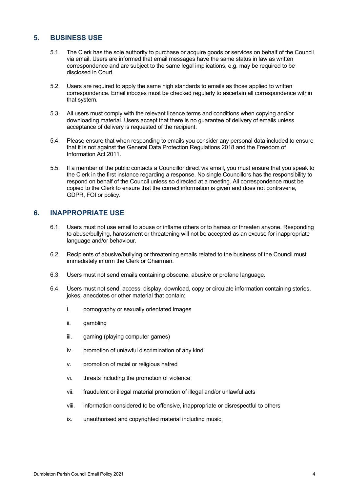# **5. BUSINESS USE**

- 5.1. The Clerk has the sole authority to purchase or acquire goods or services on behalf of the Council via email. Users are informed that email messages have the same status in law as written correspondence and are subject to the same legal implications, e.g. may be required to be disclosed in Court.
- 5.2. Users are required to apply the same high standards to emails as those applied to written correspondence. Email inboxes must be checked regularly to ascertain all correspondence within that system.
- 5.3. All users must comply with the relevant licence terms and conditions when copying and/or downloading material. Users accept that there is no guarantee of delivery of emails unless acceptance of delivery is requested of the recipient.
- 5.4. Please ensure that when responding to emails you consider any personal data included to ensure that it is not against the General Data Protection Regulations 2018 and the Freedom of Information Act 2011.
- 5.5. If a member of the public contacts a Councillor direct via email, you must ensure that you speak to the Clerk in the first instance regarding a response. No single Councillors has the responsibility to respond on behalf of the Council unless so directed at a meeting. All correspondence must be copied to the Clerk to ensure that the correct information is given and does not contravene, GDPR, FOI or policy.

#### **6. INAPPROPRIATE USE**

- 6.1. Users must not use email to abuse or inflame others or to harass or threaten anyone. Responding to abuse/bullying, harassment or threatening will not be accepted as an excuse for inappropriate language and/or behaviour.
- 6.2. Recipients of abusive/bullying or threatening emails related to the business of the Council must immediately inform the Clerk or Chairman.
- 6.3. Users must not send emails containing obscene, abusive or profane language.
- 6.4. Users must not send, access, display, download, copy or circulate information containing stories, jokes, anecdotes or other material that contain:
	- i. pornography or sexually orientated images
	- ii. gambling
	- iii. gaming (playing computer games)
	- iv. promotion of unlawful discrimination of any kind
	- v. promotion of racial or religious hatred
	- vi. threats including the promotion of violence
	- vii. fraudulent or illegal material promotion of illegal and/or unlawful acts
	- viii. information considered to be offensive, inappropriate or disrespectful to others
	- ix. unauthorised and copyrighted material including music.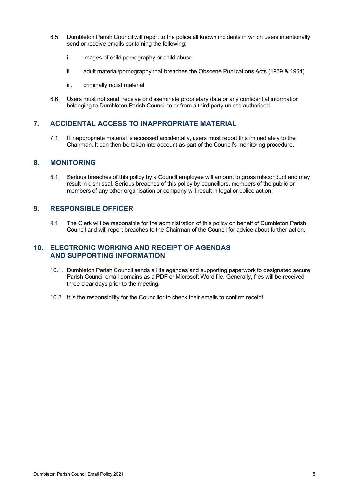- 6.5. Dumbleton Parish Council will report to the police all known incidents in which users intentionally send or receive emails containing the following:
	- i. images of child pornography or child abuse
	- ii. adult material/pornography that breaches the Obscene Publications Acts (1959 & 1964)
	- iii. criminally racist material
- 6.6. Users must not send, receive or disseminate proprietary data or any confidential information belonging to Dumbleton Parish Council to or from a third party unless authorised.

#### **7. ACCIDENTAL ACCESS TO INAPPROPRIATE MATERIAL**

7.1. If inappropriate material is accessed accidentally, users must report this immediately to the Chairman. It can then be taken into account as part of the Council's monitoring procedure.

#### **8. MONITORING**

8.1. Serious breaches of this policy by a Council employee will amount to gross misconduct and may result in dismissal. Serious breaches of this policy by councillors, members of the public or members of any other organisation or company will result in legal or police action.

#### **9. RESPONSIBLE OFFICER**

9.1. The Clerk will be responsible for the administration of this policy on behalf of Dumbleton Parish Council and will report breaches to the Chairman of the Council for advice about further action.

#### **10. ELECTRONIC WORKING AND RECEIPT OF AGENDAS AND SUPPORTING INFORMATION**

- 10.1. Dumbleton Parish Council sends all its agendas and supporting paperwork to designated secure Parish Council email domains as a PDF or Microsoft Word file. Generally, files will be received three clear days prior to the meeting.
- 10.2. It is the responsibility for the Councillor to check their emails to confirm receipt.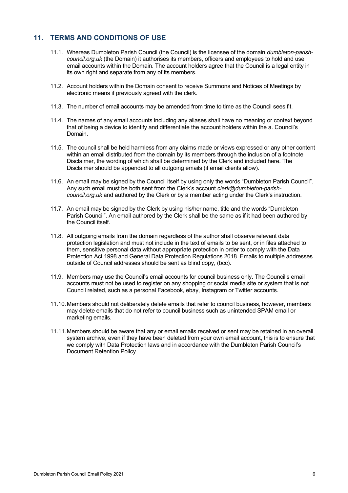# **11. TERMS AND CONDITIONS OF USE**

- 11.1. Whereas Dumbleton Parish Council (the Council) is the licensee of the domain *dumbleton-parishcouncil.org.uk* (the Domain) it authorises its members, officers and employees to hold and use email accounts within the Domain. The account holders agree that the Council is a legal entity in its own right and separate from any of its members.
- 11.2. Account holders within the Domain consent to receive Summons and Notices of Meetings by electronic means if previously agreed with the clerk.
- 11.3. The number of email accounts may be amended from time to time as the Council sees fit.
- 11.4. The names of any email accounts including any aliases shall have no meaning or context beyond that of being a device to identify and differentiate the account holders within the a. Council's Domain.
- 11.5. The council shall be held harmless from any claims made or views expressed or any other content within an email distributed from the domain by its members through the inclusion of a footnote Disclaimer, the wording of which shall be determined by the Clerk and included here. The Disclaimer should be appended to all outgoing emails (if email clients allow).
- 11.6. An email may be signed by the Council itself by using only the words "Dumbleton Parish Council". Any such email must be both sent from the Clerk's account *clerk@dumbleton-parishcouncil.org.uk* and authored by the Clerk or by a member acting under the Clerk's instruction.
- 11.7. An email may be signed by the Clerk by using his/her name, title and the words "Dumbleton Parish Council". An email authored by the Clerk shall be the same as if it had been authored by the Council itself.
- 11.8. All outgoing emails from the domain regardless of the author shall observe relevant data protection legislation and must not include in the text of emails to be sent, or in files attached to them, sensitive personal data without appropriate protection in order to comply with the Data Protection Act 1998 and General Data Protection Regulations 2018. Emails to multiple addresses outside of Council addresses should be sent as blind copy, (bcc).
- 11.9. Members may use the Council's email accounts for council business only. The Council's email accounts must not be used to register on any shopping or social media site or system that is not Council related, such as a personal Facebook, ebay, Instagram or Twitter accounts.
- 11.10.Members should not deliberately delete emails that refer to council business, however, members may delete emails that do not refer to council business such as unintended SPAM email or marketing emails.
- 11.11.Members should be aware that any or email emails received or sent may be retained in an overall system archive, even if they have been deleted from your own email account, this is to ensure that we comply with Data Protection laws and in accordance with the Dumbleton Parish Council's Document Retention Policy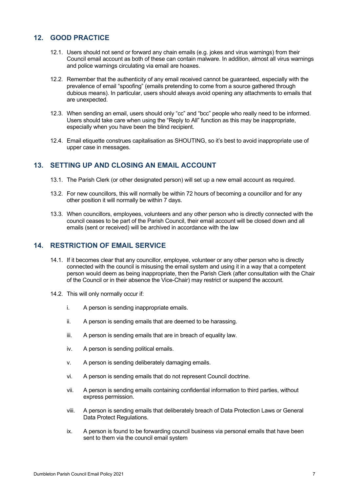# **12. GOOD PRACTICE**

- 12.1. Users should not send or forward any chain emails (e.g. jokes and virus warnings) from their Council email account as both of these can contain malware. In addition, almost all virus warnings and police warnings circulating via email are hoaxes.
- 12.2. Remember that the authenticity of any email received cannot be guaranteed, especially with the prevalence of email "spoofing" (emails pretending to come from a source gathered through dubious means). In particular, users should always avoid opening any attachments to emails that are unexpected.
- 12.3. When sending an email, users should only "cc" and "bcc" people who really need to be informed. Users should take care when using the "Reply to All" function as this may be inappropriate, especially when you have been the blind recipient.
- 12.4. Email etiquette construes capitalisation as SHOUTING, so it's best to avoid inappropriate use of upper case in messages.

# **13. SETTING UP AND CLOSING AN EMAIL ACCOUNT**

- 13.1. The Parish Clerk (or other designated person) will set up a new email account as required.
- 13.2. For new councillors, this will normally be within 72 hours of becoming a councillor and for any other position it will normally be within 7 days.
- 13.3. When councillors, employees, volunteers and any other person who is directly connected with the council ceases to be part of the Parish Council, their email account will be closed down and all emails (sent or received) will be archived in accordance with the law

#### **14. RESTRICTION OF EMAIL SERVICE**

- 14.1. If it becomes clear that any councillor, employee, volunteer or any other person who is directly connected with the council is misusing the email system and using it in a way that a competent person would deem as being inappropriate, then the Parish Clerk (after consultation with the Chair of the Council or in their absence the Vice-Chair) may restrict or suspend the account.
- 14.2. This will only normally occur if:
	- i. A person is sending inappropriate emails.
	- ii. A person is sending emails that are deemed to be harassing.
	- iii. A person is sending emails that are in breach of equality law.
	- iv. A person is sending political emails.
	- v. A person is sending deliberately damaging emails.
	- vi. A person is sending emails that do not represent Council doctrine.
	- vii. A person is sending emails containing confidential information to third parties, without express permission.
	- viii. A person is sending emails that deliberately breach of Data Protection Laws or General Data Protect Regulations.
	- ix. A person is found to be forwarding council business via personal emails that have been sent to them via the council email system